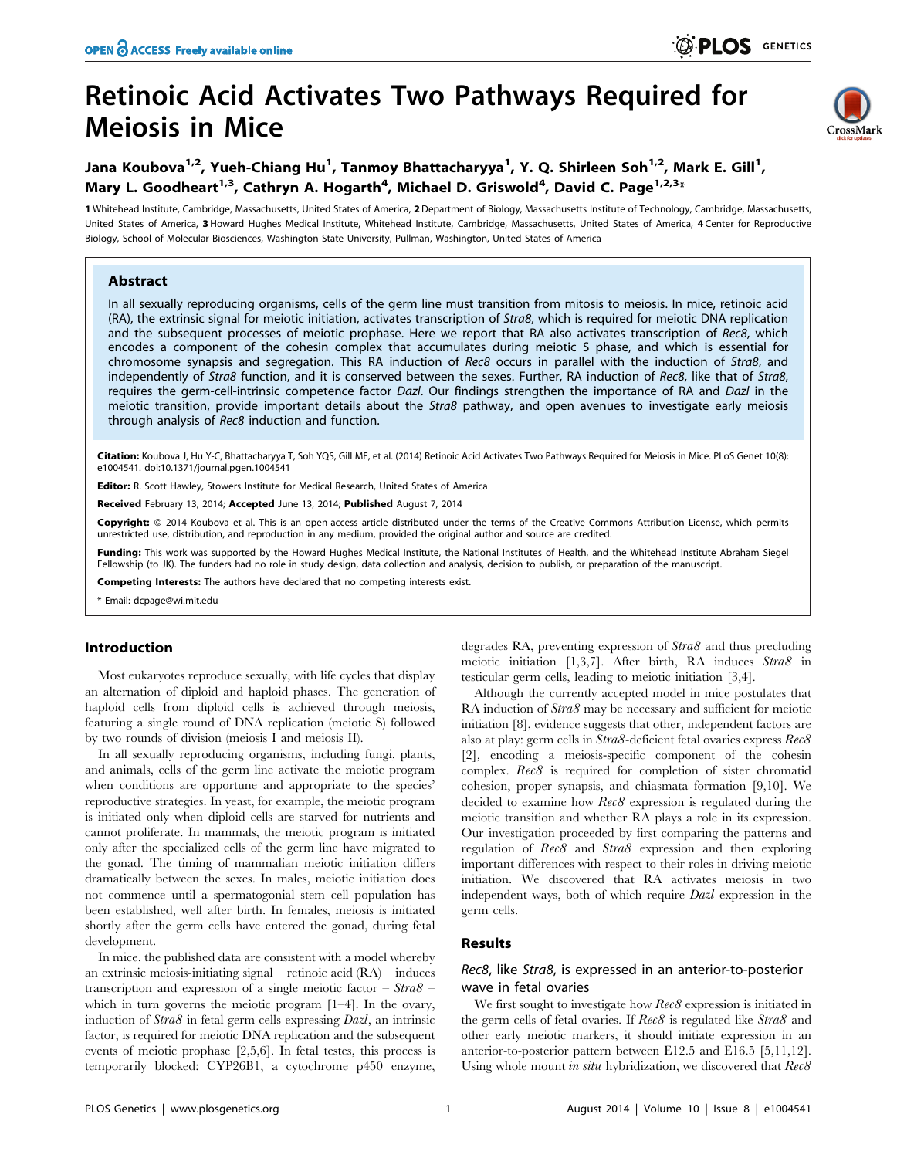# Retinoic Acid Activates Two Pathways Required for Meiosis in Mice



## Jana Koubova<sup>1,2</sup>, Yueh-Chiang Hu<sup>1</sup>, Tanmoy Bhattacharyya<sup>1</sup>, Y. Q. Shirleen Soh<sup>1,2</sup>, Mark E. Gill<sup>1</sup>, Mary L. Goodheart<sup>1,3</sup>, Cathryn A. Hogarth<sup>4</sup>, Michael D. Griswold<sup>4</sup>, David C. Page<sup>1,2,3</sup>\*

1 Whitehead Institute, Cambridge, Massachusetts, United States of America, 2 Department of Biology, Massachusetts Institute of Technology, Cambridge, Massachusetts, United States of America, 3Howard Hughes Medical Institute, Whitehead Institute, Cambridge, Massachusetts, United States of America, 4 Center for Reproductive Biology, School of Molecular Biosciences, Washington State University, Pullman, Washington, United States of America

## Abstract

In all sexually reproducing organisms, cells of the germ line must transition from mitosis to meiosis. In mice, retinoic acid (RA), the extrinsic signal for meiotic initiation, activates transcription of Stra8, which is required for meiotic DNA replication and the subsequent processes of meiotic prophase. Here we report that RA also activates transcription of Rec8, which encodes a component of the cohesin complex that accumulates during meiotic S phase, and which is essential for chromosome synapsis and segregation. This RA induction of Rec8 occurs in parallel with the induction of Stra8, and independently of Stra8 function, and it is conserved between the sexes. Further, RA induction of Rec8, like that of Stra8, requires the germ-cell-intrinsic competence factor Dazl. Our findings strengthen the importance of RA and Dazl in the meiotic transition, provide important details about the Stra8 pathway, and open avenues to investigate early meiosis through analysis of Rec8 induction and function.

Citation: Koubova J, Hu Y-C, Bhattacharyya T, Soh YQS, Gill ME, et al. (2014) Retinoic Acid Activates Two Pathways Required for Meiosis in Mice. PLoS Genet 10(8): e1004541. doi:10.1371/journal.pgen.1004541

Editor: R. Scott Hawley, Stowers Institute for Medical Research, United States of America

Received February 13, 2014; Accepted June 13, 2014; Published August 7, 2014

Copyright: © 2014 Koubova et al. This is an open-access article distributed under the terms of the [Creative Commons Attribution License,](http://creativecommons.org/licenses/by/4.0/) which permits unrestricted use, distribution, and reproduction in any medium, provided the original author and source are credited.

Funding: This work was supported by the Howard Hughes Medical Institute, the National Institutes of Health, and the Whitehead Institute Abraham Siegel Fellowship (to JK). The funders had no role in study design, data collection and analysis, decision to publish, or preparation of the manuscript.

Competing Interests: The authors have declared that no competing interests exist.

\* Email: dcpage@wi.mit.edu

## Introduction

Most eukaryotes reproduce sexually, with life cycles that display an alternation of diploid and haploid phases. The generation of haploid cells from diploid cells is achieved through meiosis, featuring a single round of DNA replication (meiotic S) followed by two rounds of division (meiosis I and meiosis II).

In all sexually reproducing organisms, including fungi, plants, and animals, cells of the germ line activate the meiotic program when conditions are opportune and appropriate to the species' reproductive strategies. In yeast, for example, the meiotic program is initiated only when diploid cells are starved for nutrients and cannot proliferate. In mammals, the meiotic program is initiated only after the specialized cells of the germ line have migrated to the gonad. The timing of mammalian meiotic initiation differs dramatically between the sexes. In males, meiotic initiation does not commence until a spermatogonial stem cell population has been established, well after birth. In females, meiosis is initiated shortly after the germ cells have entered the gonad, during fetal development.

In mice, the published data are consistent with a model whereby an extrinsic meiosis-initiating signal – retinoic acid (RA) – induces transcription and expression of a single meiotic factor –  $Strab$ which in turn governs the meiotic program [1–4]. In the ovary, induction of Stra8 in fetal germ cells expressing Dazl, an intrinsic factor, is required for meiotic DNA replication and the subsequent events of meiotic prophase [2,5,6]. In fetal testes, this process is temporarily blocked: CYP26B1, a cytochrome p450 enzyme, degrades RA, preventing expression of Stra8 and thus precluding meiotic initiation [1,3,7]. After birth, RA induces Stra8 in testicular germ cells, leading to meiotic initiation [3,4].

Although the currently accepted model in mice postulates that RA induction of Stra8 may be necessary and sufficient for meiotic initiation [8], evidence suggests that other, independent factors are also at play: germ cells in Stra8-deficient fetal ovaries express Rec8 [2], encoding a meiosis-specific component of the cohesin complex. Rec8 is required for completion of sister chromatid cohesion, proper synapsis, and chiasmata formation [9,10]. We decided to examine how  $Rec8$  expression is regulated during the meiotic transition and whether RA plays a role in its expression. Our investigation proceeded by first comparing the patterns and regulation of Rec8 and Stra8 expression and then exploring important differences with respect to their roles in driving meiotic initiation. We discovered that RA activates meiosis in two independent ways, both of which require Dazl expression in the germ cells.

## Results

## Rec8, like Stra8, is expressed in an anterior-to-posterior wave in fetal ovaries

We first sought to investigate how Rec8 expression is initiated in the germ cells of fetal ovaries. If Rec8 is regulated like Stra8 and other early meiotic markers, it should initiate expression in an anterior-to-posterior pattern between E12.5 and E16.5 [5,11,12]. Using whole mount in situ hybridization, we discovered that  $Rec8$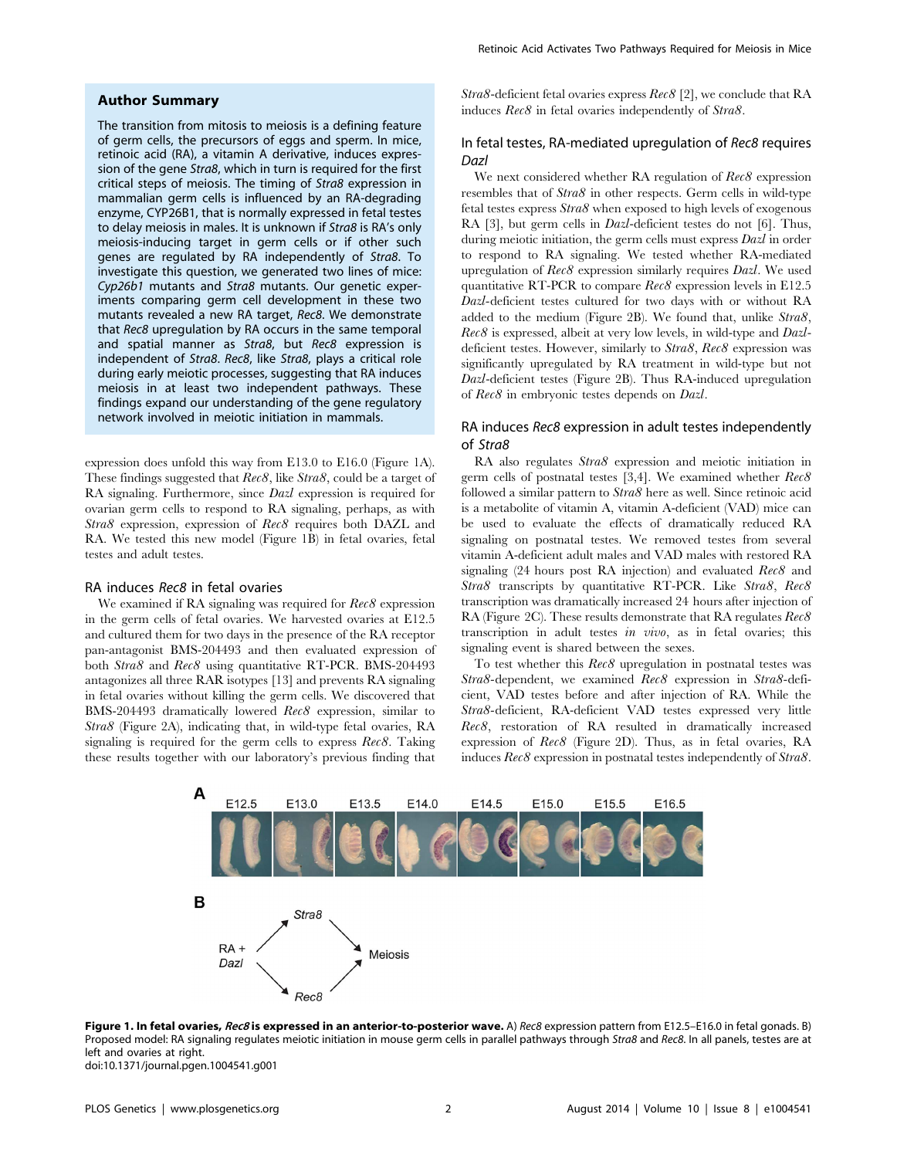## Author Summary

The transition from mitosis to meiosis is a defining feature of germ cells, the precursors of eggs and sperm. In mice, retinoic acid (RA), a vitamin A derivative, induces expression of the gene Stra8, which in turn is required for the first critical steps of meiosis. The timing of Stra8 expression in mammalian germ cells is influenced by an RA-degrading enzyme, CYP26B1, that is normally expressed in fetal testes to delay meiosis in males. It is unknown if Stra8 is RA's only meiosis-inducing target in germ cells or if other such genes are regulated by RA independently of Stra8. To investigate this question, we generated two lines of mice: Cyp26b1 mutants and Stra8 mutants. Our genetic experiments comparing germ cell development in these two mutants revealed a new RA target, Rec8. We demonstrate that Rec8 upregulation by RA occurs in the same temporal and spatial manner as Stra8, but Rec8 expression is independent of Stra8. Rec8, like Stra8, plays a critical role during early meiotic processes, suggesting that RA induces meiosis in at least two independent pathways. These findings expand our understanding of the gene regulatory network involved in meiotic initiation in mammals.

expression does unfold this way from E13.0 to E16.0 (Figure 1A). These findings suggested that  $Rec8$ , like Stra8, could be a target of RA signaling. Furthermore, since Dazl expression is required for ovarian germ cells to respond to RA signaling, perhaps, as with Stra8 expression, expression of Rec8 requires both DAZL and RA. We tested this new model (Figure 1B) in fetal ovaries, fetal testes and adult testes.

#### RA induces Rec8 in fetal ovaries

We examined if RA signaling was required for  $Rec8$  expression in the germ cells of fetal ovaries. We harvested ovaries at E12.5 and cultured them for two days in the presence of the RA receptor pan-antagonist BMS-204493 and then evaluated expression of both Stra8 and Rec8 using quantitative RT-PCR. BMS-204493 antagonizes all three RAR isotypes [13] and prevents RA signaling in fetal ovaries without killing the germ cells. We discovered that BMS-204493 dramatically lowered Rec8 expression, similar to Stra8 (Figure 2A), indicating that, in wild-type fetal ovaries, RA signaling is required for the germ cells to express Rec8. Taking these results together with our laboratory's previous finding that

Stra8-deficient fetal ovaries express Rec8 [2], we conclude that RA induces Rec8 in fetal ovaries independently of Stra8.

## In fetal testes, RA-mediated upregulation of Rec8 requires Dazl

We next considered whether RA regulation of  $Rec8$  expression resembles that of Stra8 in other respects. Germ cells in wild-type fetal testes express Stra8 when exposed to high levels of exogenous RA [3], but germ cells in *Dazl*-deficient testes do not [6]. Thus, during meiotic initiation, the germ cells must express *Dazl* in order to respond to RA signaling. We tested whether RA-mediated upregulation of  $Rec8$  expression similarly requires  $Dazl$ . We used quantitative RT-PCR to compare Rec8 expression levels in E12.5 Dazl-deficient testes cultured for two days with or without RA added to the medium (Figure 2B). We found that, unlike Stra8, Rec8 is expressed, albeit at very low levels, in wild-type and Dazldeficient testes. However, similarly to Stra8, Rec8 expression was significantly upregulated by RA treatment in wild-type but not Dazl-deficient testes (Figure 2B). Thus RA-induced upregulation of Rec8 in embryonic testes depends on Dazl.

## RA induces Rec8 expression in adult testes independently of Stra8

RA also regulates Stra8 expression and meiotic initiation in germ cells of postnatal testes [3,4]. We examined whether  $Rec8$ followed a similar pattern to Stra8 here as well. Since retinoic acid is a metabolite of vitamin A, vitamin A-deficient (VAD) mice can be used to evaluate the effects of dramatically reduced RA signaling on postnatal testes. We removed testes from several vitamin A-deficient adult males and VAD males with restored RA signaling (24 hours post RA injection) and evaluated Rec8 and Stra8 transcripts by quantitative RT-PCR. Like Stra8, Rec8 transcription was dramatically increased 24 hours after injection of RA (Figure 2C). These results demonstrate that RA regulates  $Rec8$ transcription in adult testes in vivo, as in fetal ovaries; this signaling event is shared between the sexes.

To test whether this  $Rec8$  upregulation in postnatal testes was Stra8-dependent, we examined Rec8 expression in Stra8-deficient, VAD testes before and after injection of RA. While the Stra8-deficient, RA-deficient VAD testes expressed very little Rec8, restoration of RA resulted in dramatically increased expression of Rec8 (Figure 2D). Thus, as in fetal ovaries, RA induces Rec8 expression in postnatal testes independently of Stra8.



Figure 1. In fetal ovaries, Rec8 is expressed in an anterior-to-posterior wave. A) Rec8 expression pattern from E12.5-E16.0 in fetal gonads. B) Proposed model: RA signaling regulates meiotic initiation in mouse germ cells in parallel pathways through Stra8 and Rec8. In all panels, testes are at left and ovaries at right. doi:10.1371/journal.pgen.1004541.g001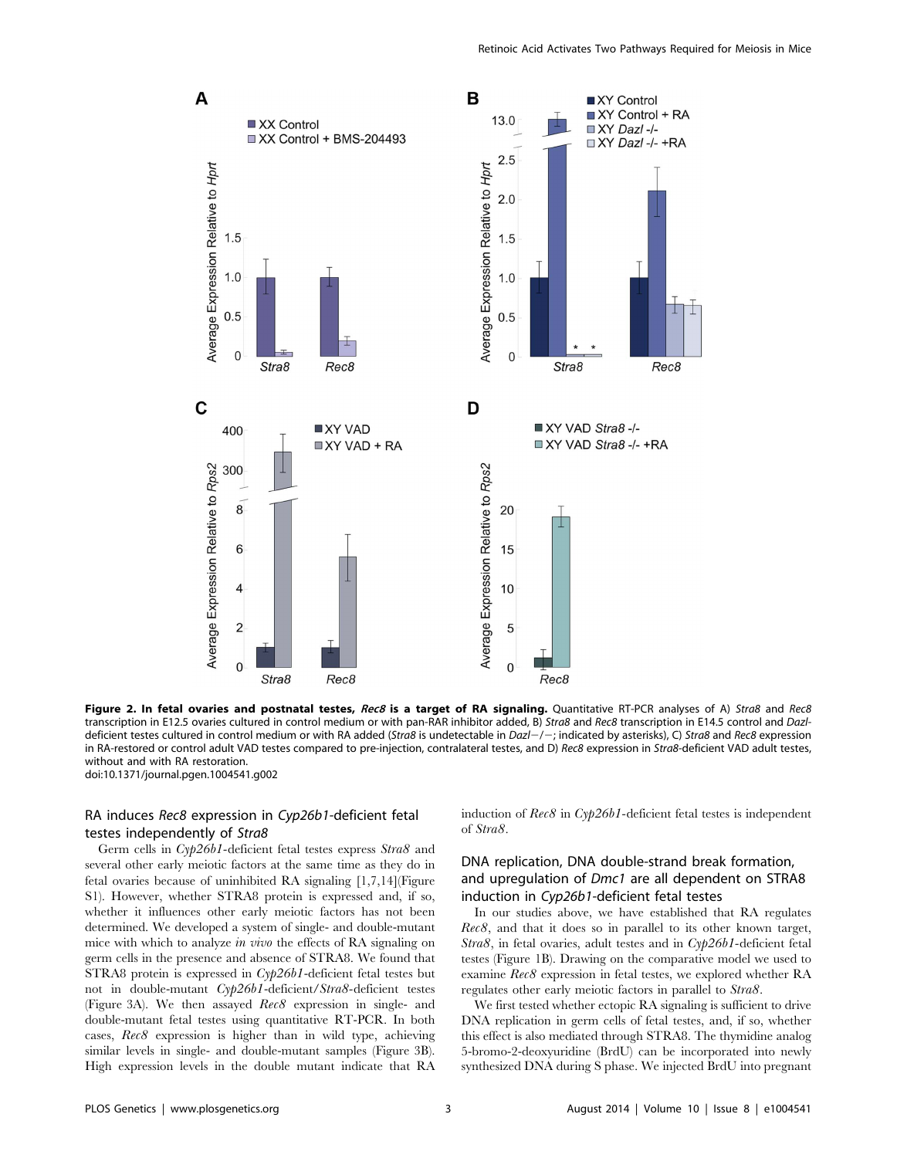

Figure 2. In fetal ovaries and postnatal testes, Rec8 is a target of RA signaling. Quantitative RT-PCR analyses of A) Stra8 and Rec8 transcription in E12.5 ovaries cultured in control medium or with pan-RAR inhibitor added, B) Stra8 and Rec8 transcription in E14.5 control and Dazldeficient testes cultured in control medium or with RA added (Stra8 is undetectable in Dazl-/-; indicated by asterisks), C) Stra8 and Rec8 expression in RA-restored or control adult VAD testes compared to pre-injection, contralateral testes, and D) Rec8 expression in Stra8-deficient VAD adult testes, without and with RA restoration. doi:10.1371/journal.pgen.1004541.g002

## RA induces Rec8 expression in Cyp26b1-deficient fetal testes independently of Stra8

Germ cells in Cyp26b1-deficient fetal testes express Stra8 and several other early meiotic factors at the same time as they do in fetal ovaries because of uninhibited RA signaling [1,7,14](Figure S1). However, whether STRA8 protein is expressed and, if so, whether it influences other early meiotic factors has not been determined. We developed a system of single- and double-mutant mice with which to analyze in vivo the effects of RA signaling on germ cells in the presence and absence of STRA8. We found that STRA8 protein is expressed in Cyp26b1-deficient fetal testes but not in double-mutant Cyp26b1-deficient/Stra8-deficient testes (Figure 3A). We then assayed Rec8 expression in single- and double-mutant fetal testes using quantitative RT-PCR. In both cases, Rec8 expression is higher than in wild type, achieving similar levels in single- and double-mutant samples (Figure 3B). High expression levels in the double mutant indicate that RA induction of  $Rec8$  in  $Cyp26b1$ -deficient fetal testes is independent of Stra8.

## DNA replication, DNA double-strand break formation, and upregulation of Dmc1 are all dependent on STRA8 induction in Cyp26b1-deficient fetal testes

In our studies above, we have established that RA regulates Rec8, and that it does so in parallel to its other known target, Stra8, in fetal ovaries, adult testes and in  $Cyp26b1$ -deficient fetal testes (Figure 1B). Drawing on the comparative model we used to examine Rec8 expression in fetal testes, we explored whether RA regulates other early meiotic factors in parallel to Stra8.

We first tested whether ectopic RA signaling is sufficient to drive DNA replication in germ cells of fetal testes, and, if so, whether this effect is also mediated through STRA8. The thymidine analog 5-bromo-2-deoxyuridine (BrdU) can be incorporated into newly synthesized DNA during S phase. We injected BrdU into pregnant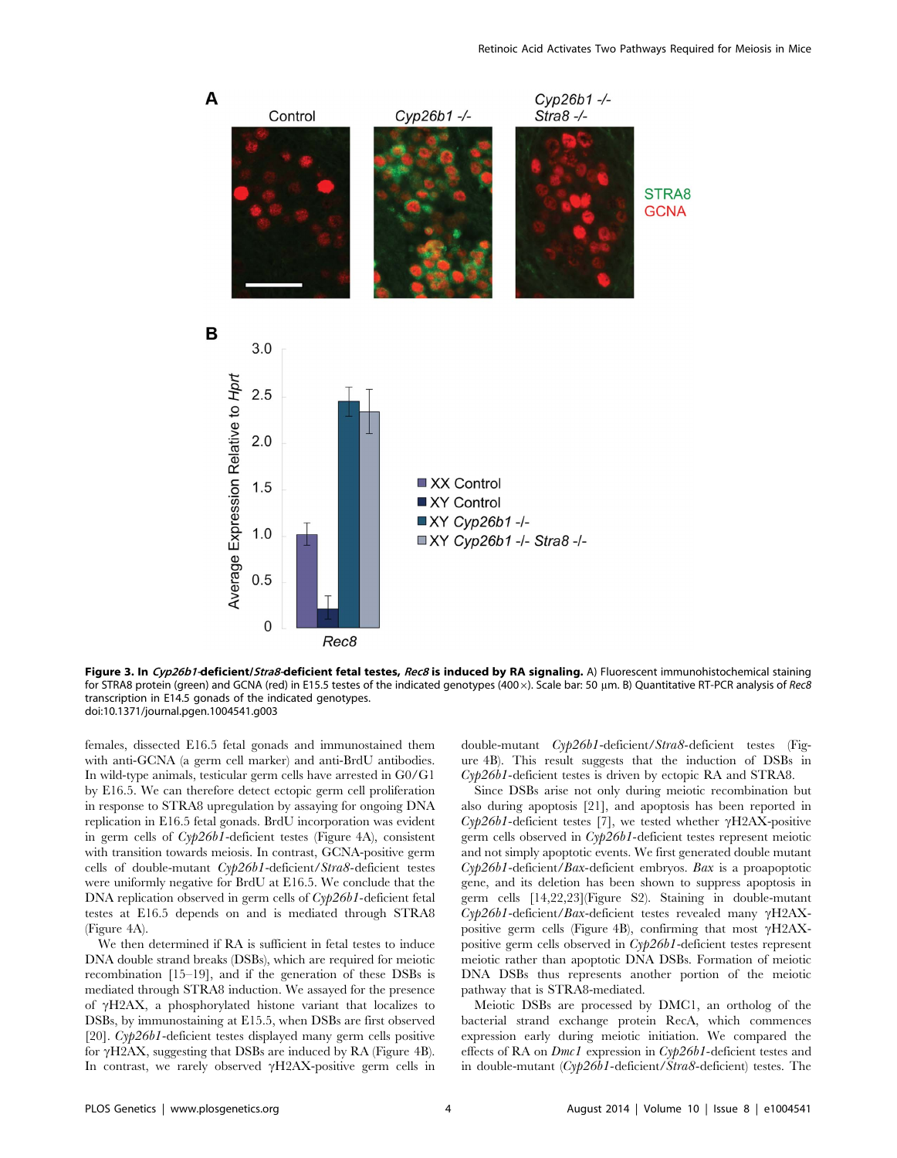

Figure 3. In Cyp26b1-deficient/Stra8-deficient fetal testes, Rec8 is induced by RA signaling. A) Fluorescent immunohistochemical staining for STRA8 protein (green) and GCNA (red) in E15.5 testes of the indicated genotypes (400 x). Scale bar: 50 µm. B) Quantitative RT-PCR analysis of Rec8 transcription in E14.5 gonads of the indicated genotypes. doi:10.1371/journal.pgen.1004541.g003

females, dissected E16.5 fetal gonads and immunostained them with anti-GCNA (a germ cell marker) and anti-BrdU antibodies. In wild-type animals, testicular germ cells have arrested in G0/G1 by E16.5. We can therefore detect ectopic germ cell proliferation in response to STRA8 upregulation by assaying for ongoing DNA replication in E16.5 fetal gonads. BrdU incorporation was evident in germ cells of Cyp26b1-deficient testes (Figure 4A), consistent with transition towards meiosis. In contrast, GCNA-positive germ cells of double-mutant Cyp26b1-deficient/Stra8-deficient testes were uniformly negative for BrdU at E16.5. We conclude that the DNA replication observed in germ cells of Cyp26b1-deficient fetal testes at E16.5 depends on and is mediated through STRA8 (Figure 4A).

We then determined if RA is sufficient in fetal testes to induce DNA double strand breaks (DSBs), which are required for meiotic recombination [15–19], and if the generation of these DSBs is mediated through STRA8 induction. We assayed for the presence of  $\gamma$ H2AX, a phosphorylated histone variant that localizes to DSBs, by immunostaining at E15.5, when DSBs are first observed [20]. Cyp26b1-deficient testes displayed many germ cells positive for  $\gamma$ H2AX, suggesting that DSBs are induced by RA (Figure 4B). In contrast, we rarely observed  $\gamma$ H2AX-positive germ cells in double-mutant Cyp26b1-deficient/Stra8-deficient testes (Figure 4B). This result suggests that the induction of DSBs in Cyp26b1-deficient testes is driven by ectopic RA and STRA8.

Since DSBs arise not only during meiotic recombination but also during apoptosis [21], and apoptosis has been reported in  $Cy/26b1$ -deficient testes [7], we tested whether  $\gamma$ H2AX-positive germ cells observed in Cyp26b1-deficient testes represent meiotic and not simply apoptotic events. We first generated double mutant Cyp26b1-deficient/Bax-deficient embryos. Bax is a proapoptotic gene, and its deletion has been shown to suppress apoptosis in germ cells [14,22,23](Figure S2). Staining in double-mutant  $Cy/26b1$ -deficient/*Bax*-deficient testes revealed many  $\gamma$ H2AXpositive germ cells (Figure 4B), confirming that most  $\gamma$ H2AXpositive germ cells observed in Cyp26b1-deficient testes represent meiotic rather than apoptotic DNA DSBs. Formation of meiotic DNA DSBs thus represents another portion of the meiotic pathway that is STRA8-mediated.

Meiotic DSBs are processed by DMC1, an ortholog of the bacterial strand exchange protein RecA, which commences expression early during meiotic initiation. We compared the effects of RA on Dmc1 expression in Cyp26b1-deficient testes and in double-mutant (Cyp26b1-deficient/Stra8-deficient) testes. The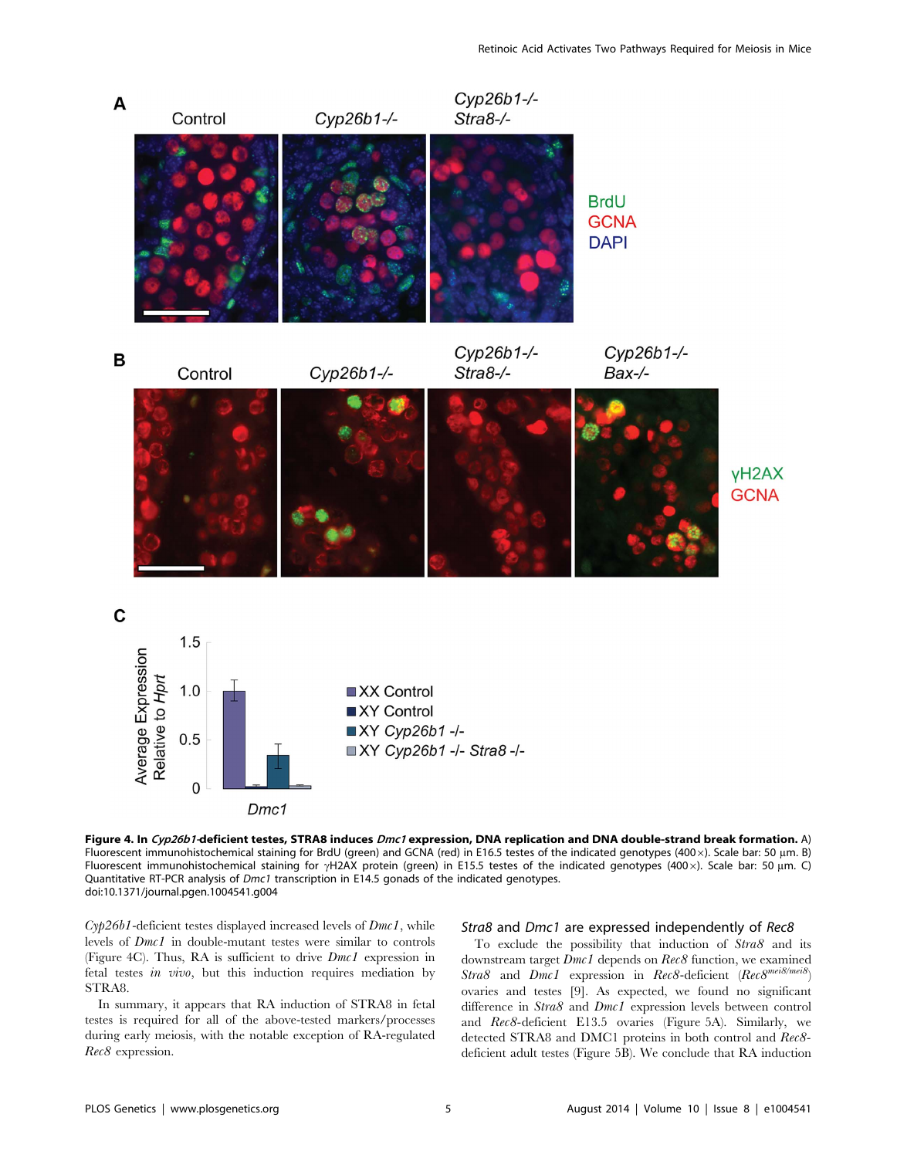

Figure 4. In Cyp26b1-deficient testes, STRA8 induces Dmc1 expression, DNA replication and DNA double-strand break formation. A) Fluorescent immunohistochemical staining for BrdU (green) and GCNA (red) in E16.5 testes of the indicated genotypes (400 x). Scale bar: 50 µm. B) Fluorescent immunohistochemical staining for  $\gamma$ H2AX protein (green) in E15.5 testes of the indicated genotypes (400x). Scale bar: 50 µm. C) Quantitative RT-PCR analysis of *Dmc1* transcription in E14.5 gonads of the indicated genotypes. doi:10.1371/journal.pgen.1004541.g004

 $Cyp26b1$ -deficient testes displayed increased levels of  $Dmc1$ , while levels of Dmc1 in double-mutant testes were similar to controls (Figure 4C). Thus, RA is sufficient to drive Dmc1 expression in fetal testes in vivo, but this induction requires mediation by STRA8.

In summary, it appears that RA induction of STRA8 in fetal testes is required for all of the above-tested markers/processes during early meiosis, with the notable exception of RA-regulated Rec8 expression.

#### Stra8 and Dmc1 are expressed independently of Rec8

To exclude the possibility that induction of Stra8 and its downstream target  $Dmc1$  depends on  $Rec8$  function, we examined Stra8 and  $Dmc1$  expression in  $Rec8$ -deficient  $(Rec8^{mei8/mei8})$ ovaries and testes [9]. As expected, we found no significant difference in Stra8 and Dmc1 expression levels between control and Rec8-deficient E13.5 ovaries (Figure 5A). Similarly, we detected STRA8 and DMC1 proteins in both control and Rec8 deficient adult testes (Figure 5B). We conclude that RA induction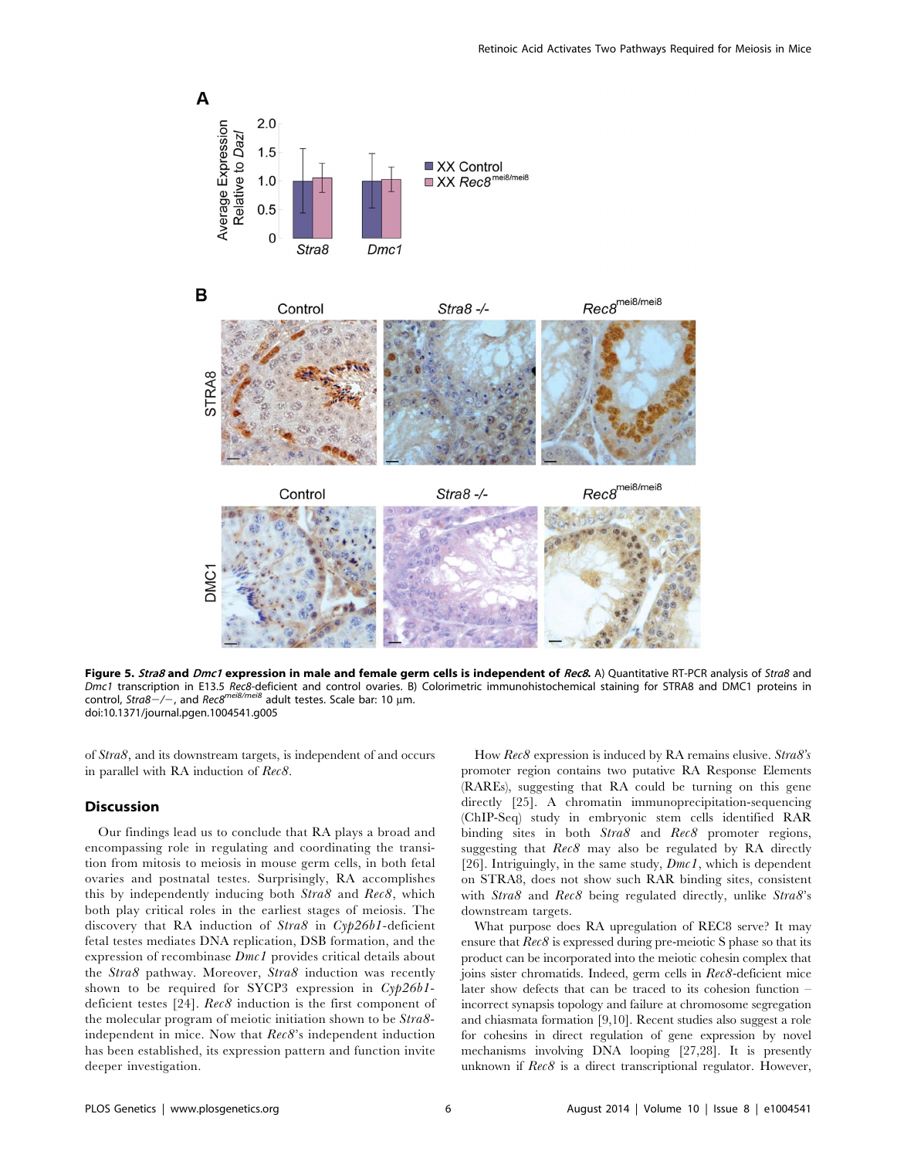

Figure 5. Stra8 and Dmc1 expression in male and female germ cells is independent of Rec8. A) Quantitative RT-PCR analysis of Stra8 and Dmc1 transcription in E13.5 *Rec8-*deficient and control ovaries. B) Colorimetric immunohistochemical staining for STRA8 and DMC1 proteins in<br>control, S*tra8—/—,* and *Rec8<sup>mei8/mei*8 adult testes. Scale bar: 10 µm.</sup> doi:10.1371/journal.pgen.1004541.g005

of Stra8, and its downstream targets, is independent of and occurs in parallel with RA induction of Rec8.

## Discussion

Our findings lead us to conclude that RA plays a broad and encompassing role in regulating and coordinating the transition from mitosis to meiosis in mouse germ cells, in both fetal ovaries and postnatal testes. Surprisingly, RA accomplishes this by independently inducing both Stra8 and Rec8, which both play critical roles in the earliest stages of meiosis. The discovery that RA induction of Stra8 in Cyp26b1-deficient fetal testes mediates DNA replication, DSB formation, and the expression of recombinase Dmc1 provides critical details about the Stra8 pathway. Moreover, Stra8 induction was recently shown to be required for SYCP3 expression in Cyp26b1deficient testes [24]. Rec8 induction is the first component of the molecular program of meiotic initiation shown to be Stra8 independent in mice. Now that Rec8's independent induction has been established, its expression pattern and function invite deeper investigation.

How Rec8 expression is induced by RA remains elusive. Stra8's promoter region contains two putative RA Response Elements (RAREs), suggesting that RA could be turning on this gene directly [25]. A chromatin immunoprecipitation-sequencing (ChIP-Seq) study in embryonic stem cells identified RAR binding sites in both Stra8 and Rec8 promoter regions, suggesting that  $Rec8$  may also be regulated by RA directly [26]. Intriguingly, in the same study,  $Dmc1$ , which is dependent on STRA8, does not show such RAR binding sites, consistent with Stra8 and Rec8 being regulated directly, unlike Stra8's downstream targets.

What purpose does RA upregulation of REC8 serve? It may ensure that  $Rec8$  is expressed during pre-meiotic S phase so that its product can be incorporated into the meiotic cohesin complex that joins sister chromatids. Indeed, germ cells in Rec8-deficient mice later show defects that can be traced to its cohesion function – incorrect synapsis topology and failure at chromosome segregation and chiasmata formation [9,10]. Recent studies also suggest a role for cohesins in direct regulation of gene expression by novel mechanisms involving DNA looping [27,28]. It is presently unknown if Rec8 is a direct transcriptional regulator. However,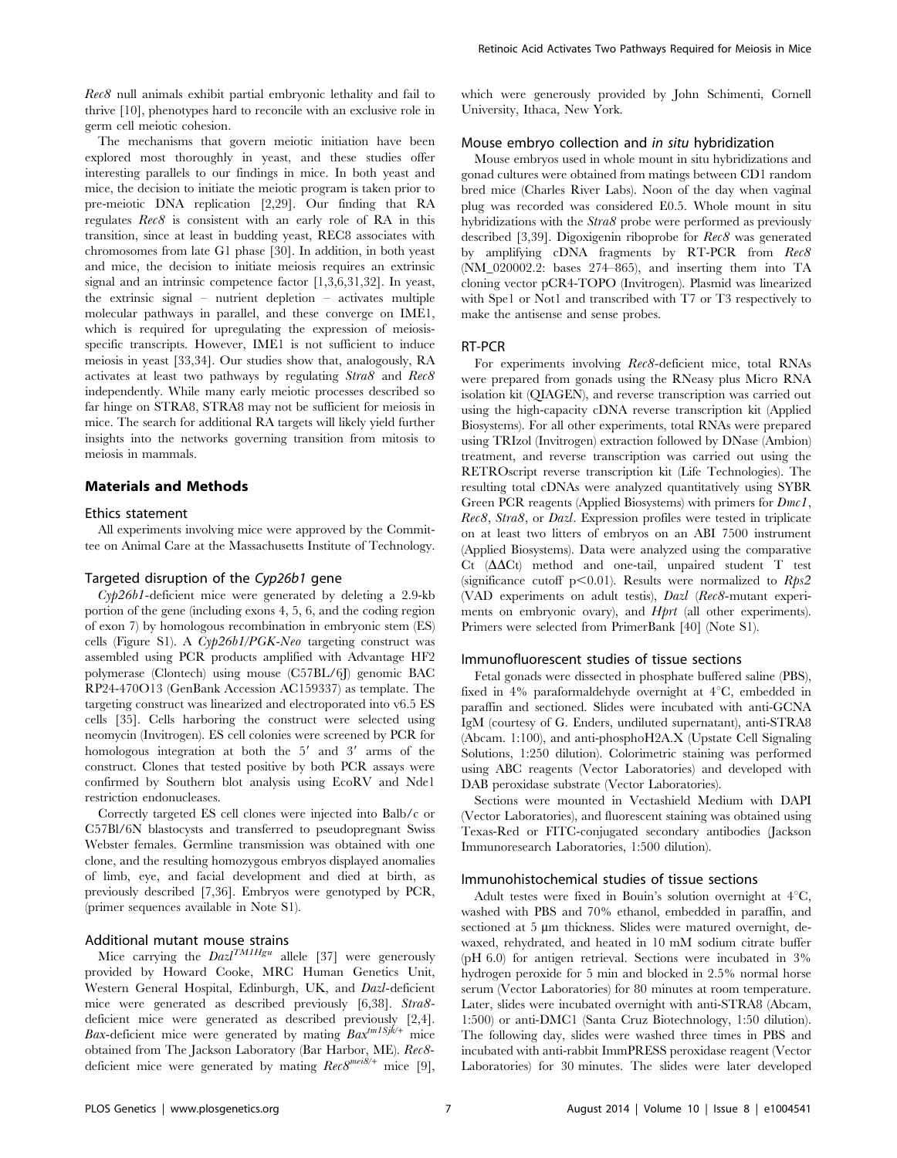Rec8 null animals exhibit partial embryonic lethality and fail to thrive [10], phenotypes hard to reconcile with an exclusive role in germ cell meiotic cohesion.

The mechanisms that govern meiotic initiation have been explored most thoroughly in yeast, and these studies offer interesting parallels to our findings in mice. In both yeast and mice, the decision to initiate the meiotic program is taken prior to pre-meiotic DNA replication [2,29]. Our finding that RA regulates Rec8 is consistent with an early role of RA in this transition, since at least in budding yeast, REC8 associates with chromosomes from late G1 phase [30]. In addition, in both yeast and mice, the decision to initiate meiosis requires an extrinsic signal and an intrinsic competence factor [1,3,6,31,32]. In yeast, the extrinsic signal – nutrient depletion – activates multiple molecular pathways in parallel, and these converge on IME1, which is required for upregulating the expression of meiosisspecific transcripts. However, IME1 is not sufficient to induce meiosis in yeast [33,34]. Our studies show that, analogously, RA activates at least two pathways by regulating Stra8 and Rec8 independently. While many early meiotic processes described so far hinge on STRA8, STRA8 may not be sufficient for meiosis in mice. The search for additional RA targets will likely yield further insights into the networks governing transition from mitosis to meiosis in mammals.

## Materials and Methods

#### Ethics statement

All experiments involving mice were approved by the Committee on Animal Care at the Massachusetts Institute of Technology.

#### Targeted disruption of the Cyp26b1 gene

 $Cyp26b1$ -deficient mice were generated by deleting a 2.9-kb portion of the gene (including exons 4, 5, 6, and the coding region of exon 7) by homologous recombination in embryonic stem (ES) cells (Figure S1). A Cyp26b1/PGK-Neo targeting construct was assembled using PCR products amplified with Advantage HF2 polymerase (Clontech) using mouse (C57BL/6J) genomic BAC RP24-470O13 (GenBank Accession AC159337) as template. The targeting construct was linearized and electroporated into v6.5 ES cells [35]. Cells harboring the construct were selected using neomycin (Invitrogen). ES cell colonies were screened by PCR for homologous integration at both the  $5'$  and  $3'$  arms of the construct. Clones that tested positive by both PCR assays were confirmed by Southern blot analysis using EcoRV and Nde1 restriction endonucleases.

Correctly targeted ES cell clones were injected into Balb/c or C57Bl/6N blastocysts and transferred to pseudopregnant Swiss Webster females. Germline transmission was obtained with one clone, and the resulting homozygous embryos displayed anomalies of limb, eye, and facial development and died at birth, as previously described [7,36]. Embryos were genotyped by PCR, (primer sequences available in Note S1).

### Additional mutant mouse strains

Mice carrying the  $Dazl^{TMHgu}$  allele [37] were generously provided by Howard Cooke, MRC Human Genetics Unit, Western General Hospital, Edinburgh, UK, and Dazl-deficient mice were generated as described previously [6,38]. Stra8 deficient mice were generated as described previously [2,4]. Bax-deficient mice were generated by mating  $Bax^{tm1Sjk/+}$  mice obtained from The Jackson Laboratory (Bar Harbor, ME). Rec8 deficient mice were generated by mating  $Rec8^{mei8/+}$  mice [9], which were generously provided by John Schimenti, Cornell University, Ithaca, New York.

#### Mouse embryo collection and in situ hybridization

Mouse embryos used in whole mount in situ hybridizations and gonad cultures were obtained from matings between CD1 random bred mice (Charles River Labs). Noon of the day when vaginal plug was recorded was considered E0.5. Whole mount in situ hybridizations with the Stra8 probe were performed as previously described [3,39]. Digoxigenin riboprobe for Rec8 was generated by amplifying cDNA fragments by RT-PCR from Rec8 (NM\_020002.2: bases 274–865), and inserting them into TA cloning vector pCR4-TOPO (Invitrogen). Plasmid was linearized with Spe1 or Not1 and transcribed with T7 or T3 respectively to make the antisense and sense probes.

#### RT-PCR

For experiments involving Rec8-deficient mice, total RNAs were prepared from gonads using the RNeasy plus Micro RNA isolation kit (QIAGEN), and reverse transcription was carried out using the high-capacity cDNA reverse transcription kit (Applied Biosystems). For all other experiments, total RNAs were prepared using TRIzol (Invitrogen) extraction followed by DNase (Ambion) treatment, and reverse transcription was carried out using the RETROscript reverse transcription kit (Life Technologies). The resulting total cDNAs were analyzed quantitatively using SYBR Green PCR reagents (Applied Biosystems) with primers for Dmc1, Rec8, Stra8, or Dazl. Expression profiles were tested in triplicate on at least two litters of embryos on an ABI 7500 instrument (Applied Biosystems). Data were analyzed using the comparative  $Ct$  ( $\Delta\Delta$ Ct) method and one-tail, unpaired student T test (significance cutoff p $< 0.01$ ). Results were normalized to  $Rps2$ (VAD experiments on adult testis), Dazl (Rec8-mutant experiments on embryonic ovary), and Hprt (all other experiments). Primers were selected from PrimerBank [40] (Note S1).

#### Immunofluorescent studies of tissue sections

Fetal gonads were dissected in phosphate buffered saline (PBS), fixed in 4% paraformaldehyde overnight at  $4^{\circ}C$ , embedded in paraffin and sectioned. Slides were incubated with anti-GCNA IgM (courtesy of G. Enders, undiluted supernatant), anti-STRA8 (Abcam. 1:100), and anti-phosphoH2A.X (Upstate Cell Signaling Solutions, 1:250 dilution). Colorimetric staining was performed using ABC reagents (Vector Laboratories) and developed with DAB peroxidase substrate (Vector Laboratories).

Sections were mounted in Vectashield Medium with DAPI (Vector Laboratories), and fluorescent staining was obtained using Texas-Red or FITC-conjugated secondary antibodies (Jackson Immunoresearch Laboratories, 1:500 dilution).

### Immunohistochemical studies of tissue sections

Adult testes were fixed in Bouin's solution overnight at  $4^{\circ}C$ , washed with PBS and 70% ethanol, embedded in paraffin, and sectioned at 5 µm thickness. Slides were matured overnight, dewaxed, rehydrated, and heated in 10 mM sodium citrate buffer (pH 6.0) for antigen retrieval. Sections were incubated in 3% hydrogen peroxide for 5 min and blocked in 2.5% normal horse serum (Vector Laboratories) for 80 minutes at room temperature. Later, slides were incubated overnight with anti-STRA8 (Abcam, 1:500) or anti-DMC1 (Santa Cruz Biotechnology, 1:50 dilution). The following day, slides were washed three times in PBS and incubated with anti-rabbit ImmPRESS peroxidase reagent (Vector Laboratories) for 30 minutes. The slides were later developed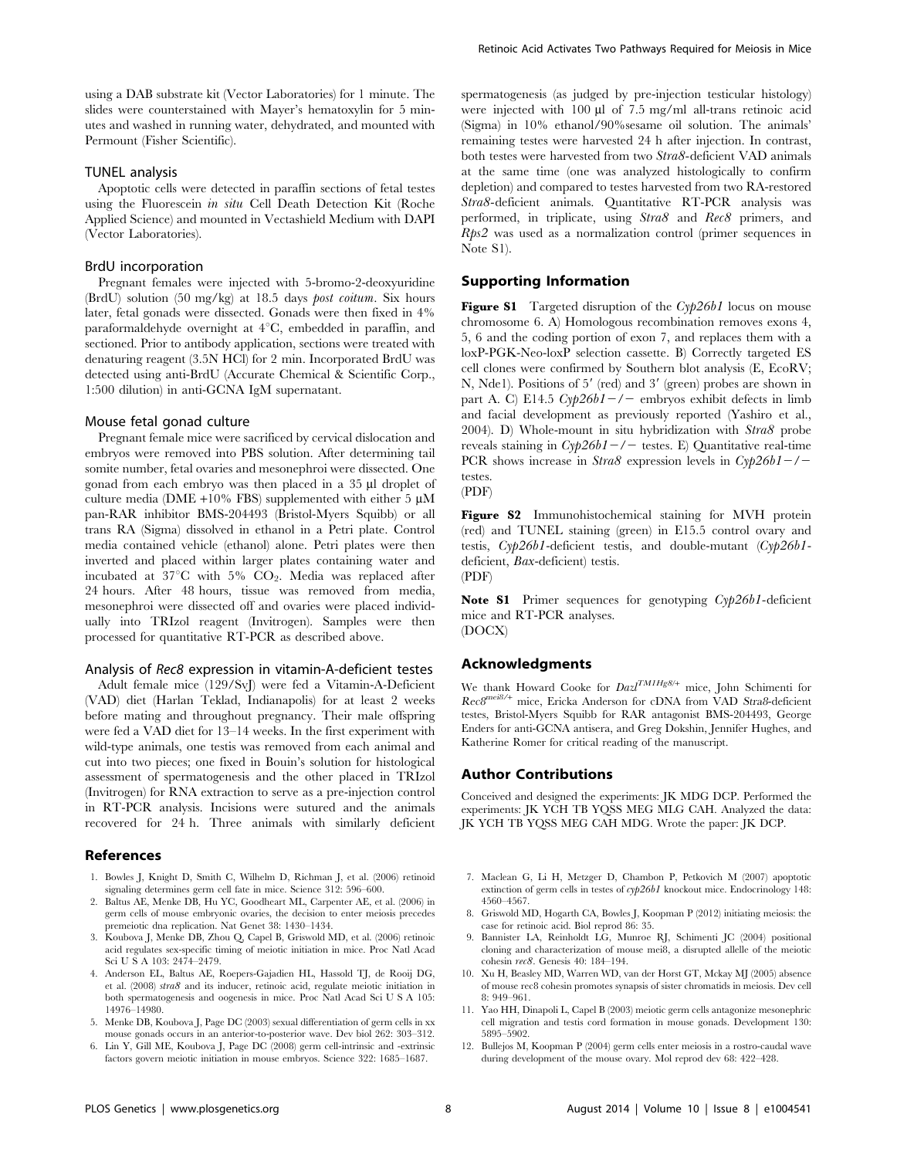using a DAB substrate kit (Vector Laboratories) for 1 minute. The slides were counterstained with Mayer's hematoxylin for 5 minutes and washed in running water, dehydrated, and mounted with Permount (Fisher Scientific).

#### TUNEL analysis

Apoptotic cells were detected in paraffin sections of fetal testes using the Fluorescein in situ Cell Death Detection Kit (Roche Applied Science) and mounted in Vectashield Medium with DAPI (Vector Laboratories).

#### BrdU incorporation

Pregnant females were injected with 5-bromo-2-deoxyuridine (BrdU) solution (50 mg/kg) at 18.5 days post coitum. Six hours later, fetal gonads were dissected. Gonads were then fixed in 4% paraformaldehyde overnight at  $4^{\circ}$ C, embedded in paraffin, and sectioned. Prior to antibody application, sections were treated with denaturing reagent (3.5N HCl) for 2 min. Incorporated BrdU was detected using anti-BrdU (Accurate Chemical & Scientific Corp., 1:500 dilution) in anti-GCNA IgM supernatant.

#### Mouse fetal gonad culture

Pregnant female mice were sacrificed by cervical dislocation and embryos were removed into PBS solution. After determining tail somite number, fetal ovaries and mesonephroi were dissected. One gonad from each embryo was then placed in a  $35 \mu l$  droplet of culture media (DME +10% FBS) supplemented with either 5  $\mu$ M pan-RAR inhibitor BMS-204493 (Bristol-Myers Squibb) or all trans RA (Sigma) dissolved in ethanol in a Petri plate. Control media contained vehicle (ethanol) alone. Petri plates were then inverted and placed within larger plates containing water and incubated at  $37^{\circ}$ C with  $5\%$  CO<sub>2</sub>. Media was replaced after 24 hours. After 48 hours, tissue was removed from media, mesonephroi were dissected off and ovaries were placed individually into TRIzol reagent (Invitrogen). Samples were then processed for quantitative RT-PCR as described above.

#### Analysis of Rec8 expression in vitamin-A-deficient testes

Adult female mice (129/SvJ) were fed a Vitamin-A-Deficient (VAD) diet (Harlan Teklad, Indianapolis) for at least 2 weeks before mating and throughout pregnancy. Their male offspring were fed a VAD diet for 13–14 weeks. In the first experiment with wild-type animals, one testis was removed from each animal and cut into two pieces; one fixed in Bouin's solution for histological assessment of spermatogenesis and the other placed in TRIzol (Invitrogen) for RNA extraction to serve as a pre-injection control in RT-PCR analysis. Incisions were sutured and the animals recovered for 24 h. Three animals with similarly deficient

#### References

- 1. Bowles J, Knight D, Smith C, Wilhelm D, Richman J, et al. (2006) retinoid signaling determines germ cell fate in mice. Science 312: 596–600.
- 2. Baltus AE, Menke DB, Hu YC, Goodheart ML, Carpenter AE, et al. (2006) in germ cells of mouse embryonic ovaries, the decision to enter meiosis precedes premeiotic dna replication. Nat Genet 38: 1430–1434.
- 3. Koubova J, Menke DB, Zhou Q, Capel B, Griswold MD, et al. (2006) retinoic acid regulates sex-specific timing of meiotic initiation in mice. Proc Natl Acad Sci U S A 103: 2474–2479.
- 4. Anderson EL, Baltus AE, Roepers-Gajadien HL, Hassold TJ, de Rooij DG, et al. (2008) stra8 and its inducer, retinoic acid, regulate meiotic initiation in both spermatogenesis and oogenesis in mice. Proc Natl Acad Sci U S A 105: 14976–14980.
- 5. Menke DB, Koubova J, Page DC (2003) sexual differentiation of germ cells in xx mouse gonads occurs in an anterior-to-posterior wave. Dev biol 262: 303–312. 6. Lin Y, Gill ME, Koubova J, Page DC (2008) germ cell-intrinsic and -extrinsic

factors govern meiotic initiation in mouse embryos. Science 322: 1685–1687.

spermatogenesis (as judged by pre-injection testicular histology) were injected with 100 µl of 7.5 mg/ml all-trans retinoic acid (Sigma) in 10% ethanol/90%sesame oil solution. The animals' remaining testes were harvested 24 h after injection. In contrast, both testes were harvested from two Stra8-deficient VAD animals at the same time (one was analyzed histologically to confirm depletion) and compared to testes harvested from two RA-restored Stra8-deficient animals. Quantitative RT-PCR analysis was performed, in triplicate, using Stra8 and Rec8 primers, and Rps2 was used as a normalization control (primer sequences in Note S1).

Retinoic Acid Activates Two Pathways Required for Meiosis in Mice

## Supporting Information

Figure S1 Targeted disruption of the Cyp26b1 locus on mouse chromosome 6. A) Homologous recombination removes exons 4, 5, 6 and the coding portion of exon 7, and replaces them with a loxP-PGK-Neo-loxP selection cassette. B) Correctly targeted ES cell clones were confirmed by Southern blot analysis (E, EcoRV; N, Nde1). Positions of 5' (red) and 3' (green) probes are shown in part A. C) E14.5  $Cyp26b1-/-$  embryos exhibit defects in limb and facial development as previously reported (Yashiro et al., 2004). D) Whole-mount in situ hybridization with Stra8 probe reveals staining in  $Cyp26b1-/-$  testes. E) Quantitative real-time PCR shows increase in Stra8 expression levels in  $Cyp26b1-/$ testes.

(PDF)

Figure S2 Immunohistochemical staining for MVH protein (red) and TUNEL staining (green) in E15.5 control ovary and testis, Cyp26b1-deficient testis, and double-mutant (Cyp26b1 deficient, Bax-deficient) testis. (PDF)

Note S1 Primer sequences for genotyping Cyp26b1-deficient mice and RT-PCR analyses. (DOCX)

#### Acknowledgments

We thank Howard Cooke for  $DazI^{TMHg8/+}$  mice, John Schimenti for Rec8<sup>mei8/+</sup> mice, Ericka Anderson for cDNA from VAD Stra8-deficient testes, Bristol-Myers Squibb for RAR antagonist BMS-204493, George Enders for anti-GCNA antisera, and Greg Dokshin, Jennifer Hughes, and Katherine Romer for critical reading of the manuscript.

#### Author Contributions

Conceived and designed the experiments: JK MDG DCP. Performed the experiments: JK YCH TB YQSS MEG MLG CAH. Analyzed the data: JK YCH TB YQSS MEG CAH MDG. Wrote the paper: JK DCP.

- 7. Maclean G, Li H, Metzger D, Chambon P, Petkovich M (2007) apoptotic extinction of germ cells in testes of cyp26b1 knockout mice. Endocrinology 148: 4560–4567.
- 8. Griswold MD, Hogarth CA, Bowles J, Koopman P (2012) initiating meiosis: the case for retinoic acid. Biol reprod 86: 35.
- 9. Bannister LA, Reinholdt LG, Munroe RJ, Schimenti JC (2004) positional cloning and characterization of mouse mei8, a disrupted allelle of the meiotic cohesin rec8. Genesis 40: 184–194.
- 10. Xu H, Beasley MD, Warren WD, van der Horst GT, Mckay MJ (2005) absence of mouse rec8 cohesin promotes synapsis of sister chromatids in meiosis. Dev cell 8: 949–961.
- 11. Yao HH, Dinapoli L, Capel B (2003) meiotic germ cells antagonize mesonephric cell migration and testis cord formation in mouse gonads. Development 130: 5895–5902.
- 12. Bullejos M, Koopman P (2004) germ cells enter meiosis in a rostro-caudal wave during development of the mouse ovary. Mol reprod dev 68: 422–428.